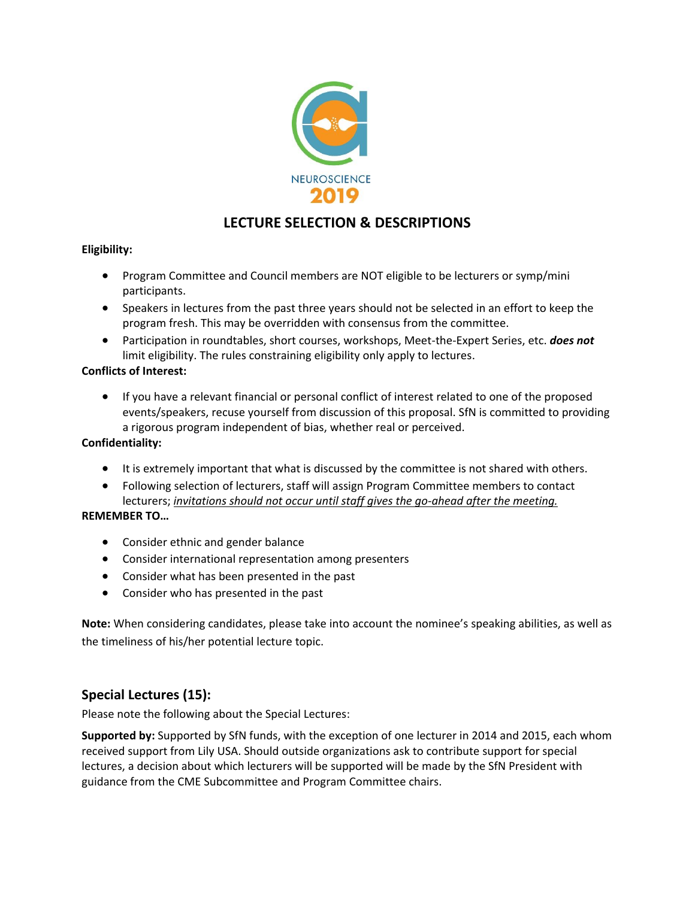

# **LECTURE SELECTION & DESCRIPTIONS**

### **Eligibility:**

- Program Committee and Council members are NOT eligible to be lecturers or symp/mini participants.
- Speakers in lectures from the past three years should not be selected in an effort to keep the program fresh. This may be overridden with consensus from the committee.
- Participation in roundtables, short courses, workshops, Meet-the-Expert Series, etc. *does not*  limit eligibility. The rules constraining eligibility only apply to lectures.

### **Conflicts of Interest:**

• If you have a relevant financial or personal conflict of interest related to one of the proposed events/speakers, recuse yourself from discussion of this proposal. SfN is committed to providing a rigorous program independent of bias, whether real or perceived.

#### **Confidentiality:**

- It is extremely important that what is discussed by the committee is not shared with others.
- Following selection of lecturers, staff will assign Program Committee members to contact lecturers; *invitations should not occur until staff gives the go-ahead after the meeting.*

#### **REMEMBER TO…**

- Consider ethnic and gender balance
- Consider international representation among presenters
- Consider what has been presented in the past
- Consider who has presented in the past

**Note:** When considering candidates, please take into account the nominee's speaking abilities, as well as the timeliness of his/her potential lecture topic.

## **Special Lectures (15):**

Please note the following about the Special Lectures:

**Supported by:** Supported by SfN funds, with the exception of one lecturer in 2014 and 2015, each whom received support from Lily USA. Should outside organizations ask to contribute support for special lectures, a decision about which lecturers will be supported will be made by the SfN President with guidance from the CME Subcommittee and Program Committee chairs.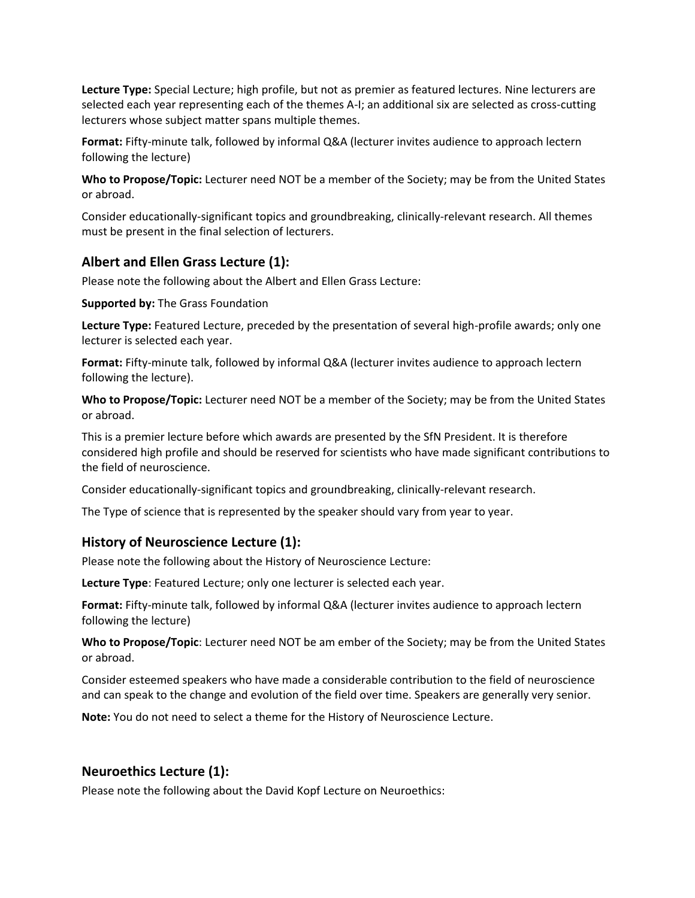**Lecture Type:** Special Lecture; high profile, but not as premier as featured lectures. Nine lecturers are selected each year representing each of the themes A-I; an additional six are selected as cross-cutting lecturers whose subject matter spans multiple themes.

**Format:** Fifty-minute talk, followed by informal Q&A (lecturer invites audience to approach lectern following the lecture)

**Who to Propose/Topic:** Lecturer need NOT be a member of the Society; may be from the United States or abroad.

Consider educationally-significant topics and groundbreaking, clinically-relevant research. All themes must be present in the final selection of lecturers.

# **Albert and Ellen Grass Lecture (1):**

Please note the following about the Albert and Ellen Grass Lecture:

**Supported by:** The Grass Foundation

**Lecture Type:** Featured Lecture, preceded by the presentation of several high-profile awards; only one lecturer is selected each year.

**Format:** Fifty-minute talk, followed by informal Q&A (lecturer invites audience to approach lectern following the lecture).

**Who to Propose/Topic:** Lecturer need NOT be a member of the Society; may be from the United States or abroad.

This is a premier lecture before which awards are presented by the SfN President. It is therefore considered high profile and should be reserved for scientists who have made significant contributions to the field of neuroscience.

Consider educationally-significant topics and groundbreaking, clinically-relevant research.

The Type of science that is represented by the speaker should vary from year to year.

## **History of Neuroscience Lecture (1):**

Please note the following about the History of Neuroscience Lecture:

**Lecture Type**: Featured Lecture; only one lecturer is selected each year.

**Format:** Fifty-minute talk, followed by informal Q&A (lecturer invites audience to approach lectern following the lecture)

**Who to Propose/Topic**: Lecturer need NOT be am ember of the Society; may be from the United States or abroad.

Consider esteemed speakers who have made a considerable contribution to the field of neuroscience and can speak to the change and evolution of the field over time. Speakers are generally very senior.

**Note:** You do not need to select a theme for the History of Neuroscience Lecture.

# **Neuroethics Lecture (1):**

Please note the following about the David Kopf Lecture on Neuroethics: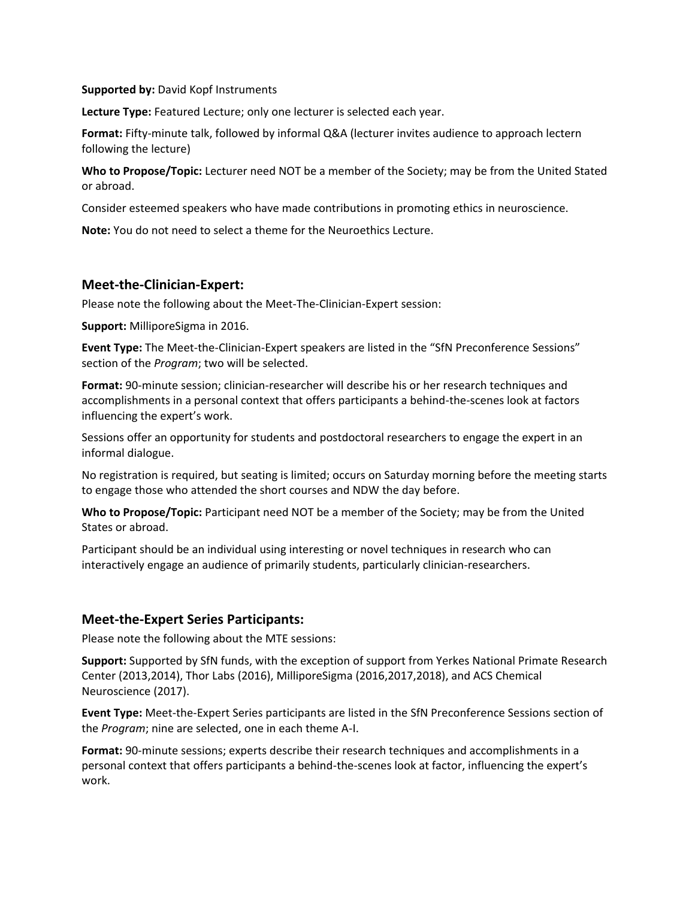#### **Supported by:** David Kopf Instruments

**Lecture Type:** Featured Lecture; only one lecturer is selected each year.

**Format:** Fifty-minute talk, followed by informal Q&A (lecturer invites audience to approach lectern following the lecture)

**Who to Propose/Topic:** Lecturer need NOT be a member of the Society; may be from the United Stated or abroad.

Consider esteemed speakers who have made contributions in promoting ethics in neuroscience.

**Note:** You do not need to select a theme for the Neuroethics Lecture.

#### **Meet-the-Clinician-Expert:**

Please note the following about the Meet-The-Clinician-Expert session:

**Support:** MilliporeSigma in 2016.

**Event Type:** The Meet-the-Clinician-Expert speakers are listed in the "SfN Preconference Sessions" section of the *Program*; two will be selected.

**Format:** 90-minute session; clinician-researcher will describe his or her research techniques and accomplishments in a personal context that offers participants a behind-the-scenes look at factors influencing the expert's work.

Sessions offer an opportunity for students and postdoctoral researchers to engage the expert in an informal dialogue.

No registration is required, but seating is limited; occurs on Saturday morning before the meeting starts to engage those who attended the short courses and NDW the day before.

**Who to Propose/Topic:** Participant need NOT be a member of the Society; may be from the United States or abroad.

Participant should be an individual using interesting or novel techniques in research who can interactively engage an audience of primarily students, particularly clinician-researchers.

### **Meet-the-Expert Series Participants:**

Please note the following about the MTE sessions:

**Support:** Supported by SfN funds, with the exception of support from Yerkes National Primate Research Center (2013,2014), Thor Labs (2016), MilliporeSigma (2016,2017,2018), and ACS Chemical Neuroscience (2017).

**Event Type:** Meet-the-Expert Series participants are listed in the SfN Preconference Sessions section of the *Program*; nine are selected, one in each theme A-I.

**Format:** 90-minute sessions; experts describe their research techniques and accomplishments in a personal context that offers participants a behind-the-scenes look at factor, influencing the expert's work.